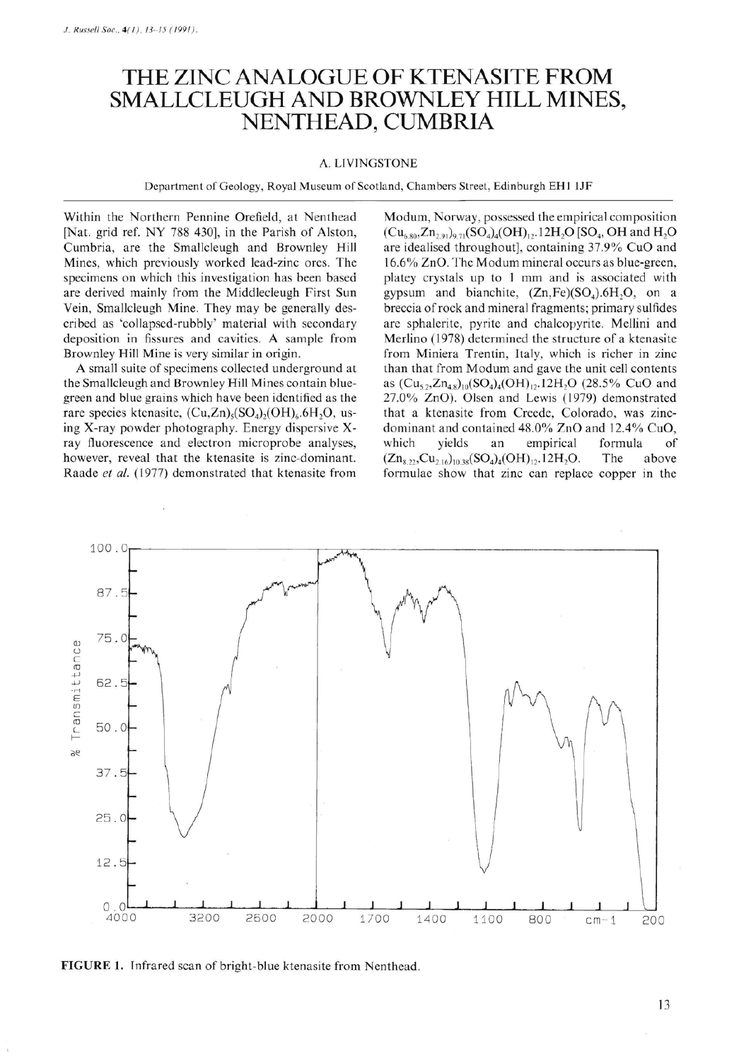## **THE ZINC ANALOGUE OF KTENASITE FROM SMALLCLEUGH AND BROWNLEY HILL MINES, NENTHEAD, CUMBRIA**

## A. LIVINGSTONE

Department of Geology, Royal Museum of Scotland, Chambers Street, Edinburgh EH I lJF

Within the Northern Pennine Orefield, at Nenthead [Nat. grid ref. NY 788 430], in the Parish of Alston, Cumbria, are the Smallcleugh and Brownley Hill Mines, which previously worked lead-zinc ores. The specimens on which this investigation has been based are derived mainly from the Middlecleugh First Sun Vein, Smallcleugh Mine. They may be generally described as 'collapsed-rubbly' material with secondary deposition in fissures and cavities. A sample from Brownley Hill Mine is very similar in origin.

A small suite of specimens collected underground at the Smallcleugh and Brownley Hill Mines contain bluegreen and blue grains which have been identified as the rare species ktenasite,  $(Cu,Zn)_{5}(SO_4)_{2}(OH)_{6}.6H_2O$ , using X-ray powder photography. Energy dispersive Xray fluorescence and electron microprobe analyses, however, reveal that the ktenasite is zinc-dominant. Raade *et al.* (1977) demonstrated that ktenasite from

Modum, Norway, possessed the empirical composition  $(Cu_{6.80}, Zn_{2.91})_{9.71} (SO_4)_4 (OH)_{12}$ , 12H<sub>2</sub>O [SO<sub>4</sub>, OH and H<sub>2</sub>O are idealised throughout], containing 37.9% CuO and 16.6% ZnO. The Modum mineral occurs as blue-green, platey crystals up to 1 mm and is associated with gypsum and bianchite,  $(Zn, Fe)(SO<sub>4</sub>).6H<sub>2</sub>O$ , on a breccia of rock and mineral fragments; primary sulfides are sphalerite, pyrite and chalcopyrite. Mellini and Merlino (1978) determined the structure of a ktenasite from Miniera Trentin, Italy, which is richer in zinc than that from Modum and gave the unit cell contents as  $(Cu_{5,2}, Zn_{4,8})_{10} (SO_4)_4 (OH)_{12}$ .12H<sub>2</sub>O (28.5% CuO and 27.0% ZnO). Olsen and Lewis (1979) demonstrated that a ktenasite from Creede, Colorado, was zincdominant and contained 48 .0% ZnO and 12.4% CuO, which yields an empirical formula of  $(Zn_{8.22}, Cu_{2.16})_{10.38} (SO_4)_4 (OH)_{12}.12 H_2 O.$  The above formulae show that zinc can replace copper in the



**FIGURE 1.** Infrared scan of bright-blue ktenasite from Nenthead.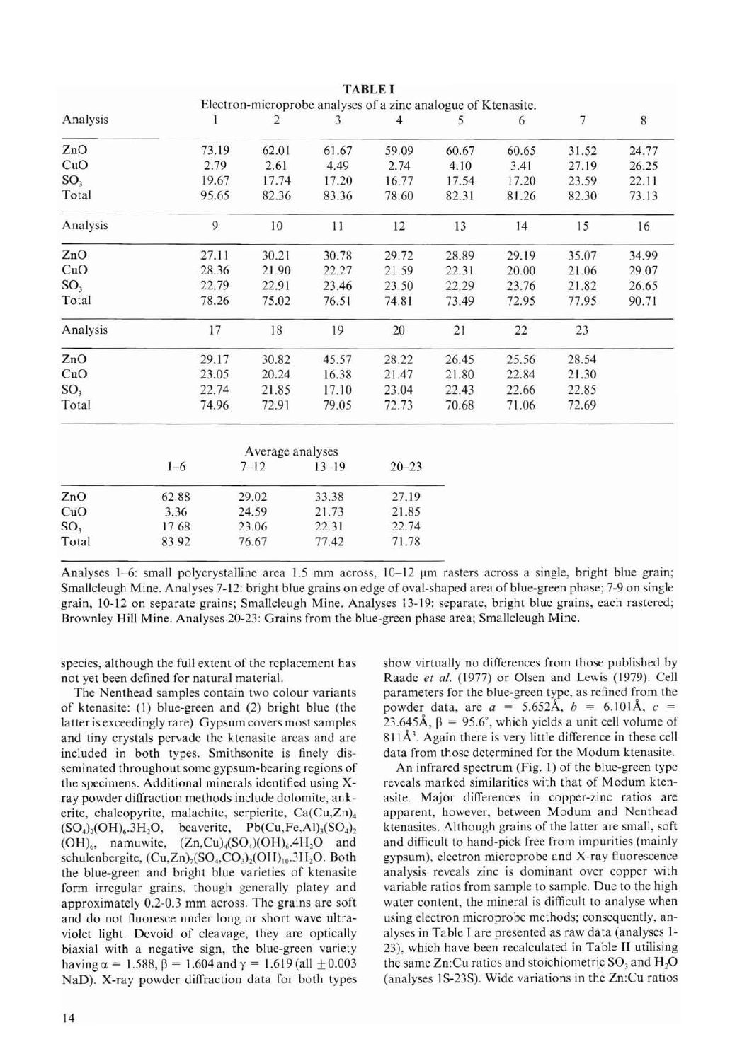|                 | Electron-microprobe analyses of a zinc analogue of Ktenasite. |       |                  |           |                |       |        |       |       |
|-----------------|---------------------------------------------------------------|-------|------------------|-----------|----------------|-------|--------|-------|-------|
| Analysis        |                                                               | 1     | $\overline{2}$   | 3         | $\overline{4}$ | 5     | 6      | 7     | $8\,$ |
| ZnO             |                                                               | 73.19 | 62.01            | 61.67     | 59.09          | 60.67 | 60.65  | 31.52 | 24.77 |
| CuO             |                                                               | 2.79  | 2.61             | 4.49      | 2.74           | 4.10  | 3.41   | 27.19 | 26.25 |
| SO <sub>3</sub> |                                                               | 19.67 | 17.74            | 17.20     | 16.77          | 17.54 | 17.20  | 23.59 | 22.11 |
| Total           |                                                               | 95.65 | 82.36            | 83.36     | 78.60          | 82.31 | 81.26  | 82.30 | 73.13 |
| Analysis        |                                                               | 9     | 10               | 11        | 12             | 13    | 14     | 15    | 16    |
| ZnO             |                                                               | 27.11 | 30.21            | 30.78     | 29.72          | 28.89 | 29.19  | 35.07 | 34.99 |
| CuO             |                                                               | 28.36 | 21.90            | 22.27     | 21.59          | 22.31 | 20.00  | 21.06 | 29.07 |
| SO <sub>3</sub> |                                                               | 22.79 | 22.91            | 23.46     | 23.50          | 22.29 | 23.76  | 21.82 | 26.65 |
| Total           |                                                               | 78.26 | 75.02            | 76.51     | 74.81          | 73.49 | 72.95  | 77.95 | 90.71 |
| Analysis        |                                                               | 17    | 18               | 19        | 20             | 21    | $22\,$ | 23    |       |
| ZnO             |                                                               | 29.17 | 30.82            | 45.57     | 28.22          | 26.45 | 25.56  | 28.54 |       |
| CuO             |                                                               | 23.05 | 20.24            | 16.38     | 21.47          | 21.80 | 22.84  | 21.30 |       |
| SO <sub>3</sub> |                                                               | 22.74 | 21.85            | 17.10     | 23.04          | 22.43 | 22.66  | 22.85 |       |
| Total           |                                                               | 74.96 | 72.91            | 79.05     | 72.73          | 70.68 | 71.06  | 72.69 |       |
|                 |                                                               |       | Average analyses |           |                |       |        |       |       |
|                 | $1 - 6$                                                       |       | $7 - 12$         | $13 - 19$ | $20 - 23$      |       |        |       |       |
| ZnO             | 62.88                                                         | 29.02 |                  | 33.38     | 27.19          |       |        |       |       |
| CuO             | 3.36                                                          | 24.59 |                  | 21.73     | 21.85          |       |        |       |       |
| SO <sub>3</sub> | 17.68                                                         |       | 23.06            | 22.31     | 22.74          |       |        |       |       |
| Total           | 83.92                                                         |       | 76.67            | 77.42     | 71.78          |       |        |       |       |

TABLE I

Analyses 1-6: small polycrystalline area 1.5 mm across,  $10-12 \mu m$  rasters across a single, bright blue grain; Smallcleugh Mine. Analyses 7-12: bright blue grains on edge of oval-shaped area of blue-green phase; 7-9 on single grain, 10-12 on separate grains; Smallcleugh Mine. Analyses 13-19: separate, bright blue grains, each rastered; Brownley Hill Mine. Analyses 20-23: Grains from the blue-green phase area; Smallcleugh Mine.

species, although the full extent of the replacement has not yet been defined for natural material.

The Nenthead samples contain two colour variants of ktenasite: (I) blue-green and (2) bright blue (the latter is exceedingly rare). Gypsum covers most samples and tiny crystals pervade the ktenasite areas and are included in both types. Smithsonite is finely disseminated throughout some gypsum-bearing regions of the specimens. Additional minerals identified using xray powder diffraction methods include dolomite, ankerite, chalcopyrite, malachite, serpierite, Ca(Cu,Zn)<sub>4</sub>  $(SO<sub>4</sub>)<sub>2</sub>(OH)<sub>6</sub>$ .3H<sub>2</sub>O, beaverite, Pb(Cu,Fe,Al)<sub>3</sub>(SO<sub>4</sub>)<sub>2</sub>  $(OH)_{6}$ , namuwite,  $(Zn, Cu)_{4}(SO_4)(OH)_{6}$ .4H<sub>2</sub>O and schulenbergite,  $(Cu,Zn)$ <sub>7</sub> $(SO<sub>4</sub>,CO<sub>3</sub>)$ <sub>2</sub> $(OH)$ <sub>10</sub>.3H<sub>2</sub>O. Both the blue-green and bright blue varieties of ktenasite form irregular grains, though generally platey and approximately 0.2-0.3 mm across. The grains are soft and do not fluoresce under long or short wave ultraviolet light. Devoid of cleavage, they are optically biaxial with a negative sign, the blue-green variety having  $\alpha = 1.588$ ,  $\beta = 1.604$  and  $\gamma = 1.619$  (all  $\pm 0.003$ NaD). X-ray powder diffraction data for both types show virtually no differences from those published by Raade et al. (1977) or Olsen and Lewis (1979). Cell parameters for the blue-green type, as refined from the powder data, are  $a = 5.652$ Å,  $b = 6.101$ Å,  $c =$ 23.645Å,  $\beta$  = 95.6°, which yields a unit cell volume of  $811\AA$ <sup>3</sup>. Again there is very little difference in these cell data from those determined for the Modum ktenasite.

An infrared spectrum (Fig. I) of the blue-green type reveals marked similarities with that of Modum ktenasite. Major differences in copper-zinc ratios are apparent, however, between Modum and Nenthead ktenasites. Although grains of the latter are small, soft and difficult to hand-pick free from impurities (mainly gypsum), electron microprobe and X-ray fluorescence analysis reveals zinc is dominant over copper with variable ratios from sample to sample. Due to the high water content, the mineral is difficult to analyse when using electron microprobe methods; consequently, analyses in Table 1 are presented as raw data (analyses 1- 23), which have been recalculated in Table II utilising the same  $Zn$ :Cu ratios and stoichiometric  $SO_3$  and  $H_2O$ (analyses 1S-23S). Wide variations in the Zn:Cu ratios